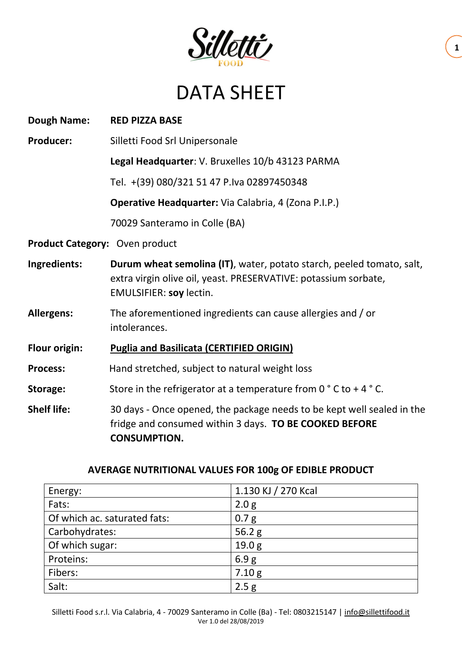

## DATA SHEET

| <b>Dough Name:</b>             | <b>RED PIZZA BASE</b>                                                                                                                                                      |  |  |  |  |
|--------------------------------|----------------------------------------------------------------------------------------------------------------------------------------------------------------------------|--|--|--|--|
| <b>Producer:</b>               | Silletti Food Srl Unipersonale                                                                                                                                             |  |  |  |  |
|                                | Legal Headquarter: V. Bruxelles 10/b 43123 PARMA                                                                                                                           |  |  |  |  |
|                                | Tel. +(39) 080/321 51 47 P.Iva 02897450348                                                                                                                                 |  |  |  |  |
|                                | <b>Operative Headquarter:</b> Via Calabria, 4 (Zona P.I.P.)                                                                                                                |  |  |  |  |
|                                | 70029 Santeramo in Colle (BA)                                                                                                                                              |  |  |  |  |
| Product Category: Oven product |                                                                                                                                                                            |  |  |  |  |
| Ingredients:                   | Durum wheat semolina (IT), water, potato starch, peeled tomato, salt,<br>extra virgin olive oil, yeast. PRESERVATIVE: potassium sorbate,<br><b>EMULSIFIER: soy lectin.</b> |  |  |  |  |
| <b>Allergens:</b>              | The aforementioned ingredients can cause allergies and / or<br>intolerances.                                                                                               |  |  |  |  |
| <b>Flour origin:</b>           | <b>Puglia and Basilicata (CERTIFIED ORIGIN)</b>                                                                                                                            |  |  |  |  |
| <b>Process:</b>                | Hand stretched, subject to natural weight loss                                                                                                                             |  |  |  |  |
| Storage:                       | Store in the refrigerator at a temperature from $0^{\circ}$ C to +4 $^{\circ}$ C.                                                                                          |  |  |  |  |
| <b>Shelf life:</b>             | 30 days - Once opened, the package needs to be kept well sealed in the<br>fridge and consumed within 3 days. TO BE COOKED BEFORE<br><b>CONSUMPTION.</b>                    |  |  |  |  |

## **AVERAGE NUTRITIONAL VALUES FOR 100g OF EDIBLE PRODUCT**

| Energy:                      | 1.130 KJ / 270 Kcal |  |  |  |
|------------------------------|---------------------|--|--|--|
| Fats:                        | 2.0 <sub>g</sub>    |  |  |  |
| Of which ac. saturated fats: | 0.7 <sub>g</sub>    |  |  |  |
| Carbohydrates:               | 56.2 $g$            |  |  |  |
| Of which sugar:              | 19.0 <sub>g</sub>   |  |  |  |
| Proteins:                    | 6.9 <sub>g</sub>    |  |  |  |
| Fibers:                      | 7.10 g              |  |  |  |
| Salt:                        | 2.5 <sub>g</sub>    |  |  |  |